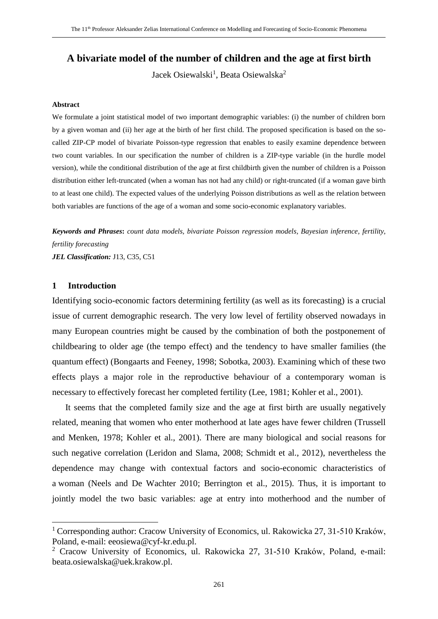# **A bivariate model of the number of children and the age at first birth**

Jacek Osiewalski<sup>1</sup>, Beata Osiewalska<sup>2</sup>

#### **Abstract**

We formulate a joint statistical model of two important demographic variables: (i) the number of children born by a given woman and (ii) her age at the birth of her first child. The proposed specification is based on the socalled ZIP-CP model of bivariate Poisson-type regression that enables to easily examine dependence between two count variables. In our specification the number of children is a ZIP-type variable (in the hurdle model version), while the conditional distribution of the age at first childbirth given the number of children is a Poisson distribution either left-truncated (when a woman has not had any child) or right-truncated (if a woman gave birth to at least one child). The expected values of the underlying Poisson distributions as well as the relation between both variables are functions of the age of a woman and some socio-economic explanatory variables.

*Keywords and Phrases***:** *count data models, bivariate Poisson regression models, Bayesian inference, fertility, fertility forecasting JEL Classification:* J13, C35, C51

## **1 Introduction**

 $\overline{a}$ 

Identifying socio-economic factors determining fertility (as well as its forecasting) is a crucial issue of current demographic research. The very low level of fertility observed nowadays in many European countries might be caused by the combination of both the postponement of childbearing to older age (the tempo effect) and the tendency to have smaller families (the quantum effect) (Bongaarts and Feeney, 1998; Sobotka, 2003). Examining which of these two effects plays a major role in the reproductive behaviour of a contemporary woman is necessary to effectively forecast her completed fertility (Lee, 1981; Kohler et al., 2001).

It seems that the completed family size and the age at first birth are usually negatively related, meaning that women who enter motherhood at late ages have fewer children (Trussell and Menken, 1978; Kohler et al., 2001). There are many biological and social reasons for such negative correlation (Leridon and Slama, 2008; Schmidt et al., 2012), nevertheless the dependence may change with contextual factors and socio-economic characteristics of a woman (Neels and De Wachter 2010; Berrington et al., 2015). Thus, it is important to jointly model the two basic variables: age at entry into motherhood and the number of

<sup>&</sup>lt;sup>1</sup> Corresponding author: Cracow University of Economics, ul. Rakowicka 27, 31-510 Kraków, Poland, e-mail: eeosiewa@cyf-kr.edu.pl.

<sup>2</sup> Cracow University of Economics, ul. Rakowicka 27, 31-510 Kraków, Poland, e-mail: beata.osiewalska@uek.krakow.pl.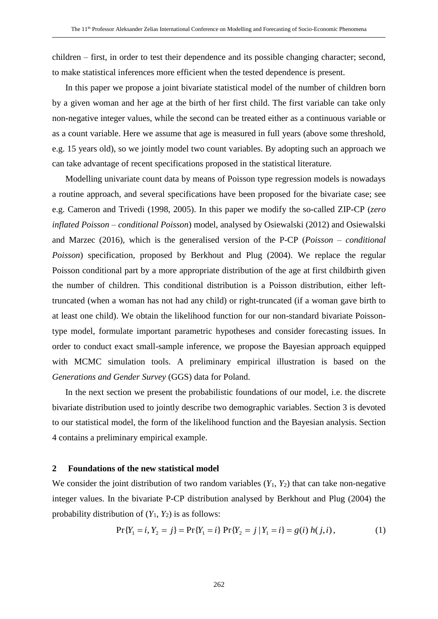children – first, in order to test their dependence and its possible changing character; second, to make statistical inferences more efficient when the tested dependence is present.

In this paper we propose a joint bivariate statistical model of the number of children born by a given woman and her age at the birth of her first child. The first variable can take only non-negative integer values, while the second can be treated either as a continuous variable or as a count variable. Here we assume that age is measured in full years (above some threshold, e.g. 15 years old), so we jointly model two count variables. By adopting such an approach we can take advantage of recent specifications proposed in the statistical literature.

Modelling univariate count data by means of Poisson type regression models is nowadays a routine approach, and several specifications have been proposed for the bivariate case; see e.g. Cameron and Trivedi (1998, 2005). In this paper we modify the so-called ZIP-CP (*zero inflated Poisson – conditional Poisson*) model, analysed by Osiewalski (2012) and Osiewalski and Marzec (2016), which is the generalised version of the P-CP (*Poisson – conditional Poisson*) specification, proposed by Berkhout and Plug (2004). We replace the regular Poisson conditional part by a more appropriate distribution of the age at first childbirth given the number of children. This conditional distribution is a Poisson distribution, either lefttruncated (when a woman has not had any child) or right-truncated (if a woman gave birth to at least one child). We obtain the likelihood function for our non-standard bivariate Poissontype model, formulate important parametric hypotheses and consider forecasting issues. In order to conduct exact small-sample inference, we propose the Bayesian approach equipped with MCMC simulation tools. A preliminary empirical illustration is based on the *Generations and Gender Survey* (GGS) data for Poland.

In the next section we present the probabilistic foundations of our model, i.e. the discrete bivariate distribution used to jointly describe two demographic variables. Section 3 is devoted to our statistical model, the form of the likelihood function and the Bayesian analysis. Section 4 contains a preliminary empirical example.

#### **2 Foundations of the new statistical model**

We consider the joint distribution of two random variables  $(Y_1, Y_2)$  that can take non-negative integer values. In the bivariate P-CP distribution analysed by Berkhout and Plug (2004) the probability distribution of  $(Y_1, Y_2)$  is as follows:

$$
\Pr\{Y_1 = i, Y_2 = j\} = \Pr\{Y_1 = i\} \Pr\{Y_2 = j \mid Y_1 = i\} = g(i) h(j, i),\tag{1}
$$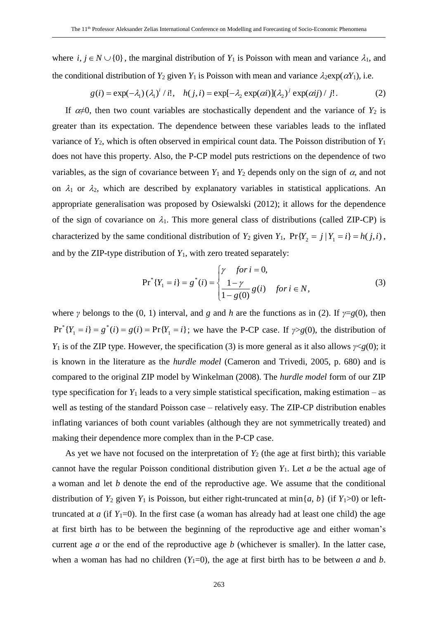where  $i, j \in N \cup \{0\}$ , the marginal distribution of  $Y_1$  is Poisson with mean and variance  $\lambda_1$ , and the conditional distribution of  $Y_2$  given  $Y_1$  is Poisson with mean and variance  $\lambda_2 \exp(\alpha Y_1)$ , i.e.

$$
g(i) = \exp(-\lambda_1) (\lambda_1)^i / i!, \quad h(j, i) = \exp[-\lambda_2 \exp(\alpha i)] (\lambda_2)^j \exp(\alpha i j) / j!.
$$
 (2)

If  $\alpha \neq 0$ , then two count variables are stochastically dependent and the variance of  $Y_2$  is greater than its expectation. The dependence between these variables leads to the inflated variance of *Y*2, which is often observed in empirical count data. The Poisson distribution of *Y*<sup>1</sup> does not have this property. Also, the P-CP model puts restrictions on the dependence of two variables, as the sign of covariance between  $Y_1$  and  $Y_2$  depends only on the sign of  $\alpha$ , and not on  $\lambda_1$  or  $\lambda_2$ , which are described by explanatory variables in statistical applications. An appropriate generalisation was proposed by Osiewalski (2012); it allows for the dependence of the sign of covariance on  $\lambda_1$ . This more general class of distributions (called ZIP-CP) is characterized by the same conditional distribution of  $Y_2$  given  $Y_1$ ,  $Pr{Y_2 = j | Y_1 = i} = h(j,i)$ , and by the ZIP-type distribution of  $Y_1$ , with zero treated separately:

$$
Pr^{*}\{Y_{1} = i\} = g^{*}(i) = \begin{cases} \gamma & \text{for } i = 0, \\ \frac{1 - \gamma}{1 - g(0)} g(i) & \text{for } i \in N, \end{cases}
$$
(3)

where *γ* belongs to the (0, 1) interval, and *g* and *h* are the functions as in (2). If  $\gamma = g(0)$ , then  $Pr^{\ast}{Y_1 = i} = g^{\ast}(i) = g(i) = Pr{Y_1 = i}$ 1  ${}^*(Y_1 = i) = g^*(i) = g(i) = Pr{Y_1 = i}$ ; we have the P-CP case. If  $\gamma > g(0)$ , the distribution of *Y*<sub>1</sub> is of the ZIP type. However, the specification (3) is more general as it also allows  $\gamma \leq g(0)$ ; it is known in the literature as the *hurdle model* (Cameron and Trivedi, 2005, p. 680) and is compared to the original ZIP model by Winkelman (2008). The *hurdle model* form of our ZIP type specification for  $Y_1$  leads to a very simple statistical specification, making estimation – as well as testing of the standard Poisson case – relatively easy. The ZIP-CP distribution enables inflating variances of both count variables (although they are not symmetrically treated) and making their dependence more complex than in the P-CP case.

As yet we have not focused on the interpretation of  $Y_2$  (the age at first birth); this variable cannot have the regular Poisson conditional distribution given *Y*1. Let *a* be the actual age of a woman and let *b* denote the end of the reproductive age. We assume that the conditional distribution of  $Y_2$  given  $Y_1$  is Poisson, but either right-truncated at min $\{a, b\}$  (if  $Y_1>0$ ) or lefttruncated at  $a$  (if  $Y_1=0$ ). In the first case (a woman has already had at least one child) the age at first birth has to be between the beginning of the reproductive age and either woman's current age *a* or the end of the reproductive age *b* (whichever is smaller). In the latter case, when a woman has had no children  $(Y_1=0)$ , the age at first birth has to be between *a* and *b*.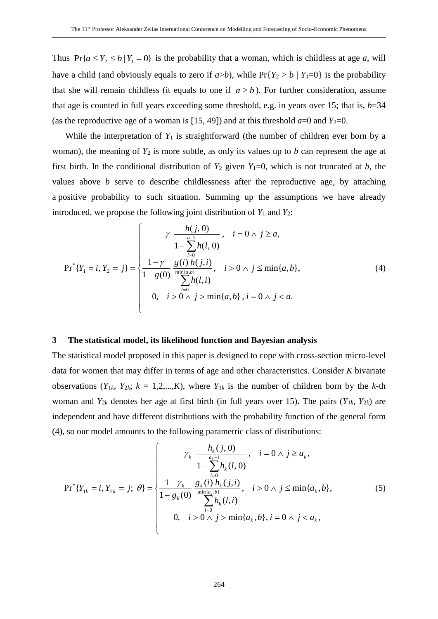Thus  $Pr\{a \leq Y_2 \leq b \mid Y_1 = 0\}$  is the probability that a woman, which is childless at age *a*, will have a child (and obviously equals to zero if  $a > b$ ), while  $Pr{Y_2 > b | Y_1 = 0}$  is the probability that she will remain childless (it equals to one if  $a \ge b$ ). For further consideration, assume that age is counted in full years exceeding some threshold, e.g. in years over 15; that is, *b*=34 (as the reproductive age of a woman is [15, 49]) and at this threshold  $a=0$  and  $Y_2=0$ .

While the interpretation of  $Y_1$  is straightforward (the number of children ever born by a woman), the meaning of  $Y_2$  is more subtle, as only its values up to *b* can represent the age at first birth. In the conditional distribution of  $Y_2$  given  $Y_1=0$ , which is not truncated at *b*, the values above *b* serve to describe childlessness after the reproductive age, by attaching a positive probability to such situation. Summing up the assumptions we have already introduced, we propose the following joint distribution of  $Y_1$  and  $Y_2$ :

$$
\Pr^{*}\{Y_{1} = i, Y_{2} = j\} = \n\begin{cases}\n\gamma & \frac{h(j, 0)}{1 - \sum_{l=0}^{a-1} h(l, 0)} , & i = 0 \land j \geq a, \\
\frac{1 - \gamma}{1 - g(0)} & \frac{g(i) h(j, i)}{\min(a, b)}, & i > 0 \land j \leq \min\{a, b\}, \\
0, & i > 0 \land j > \min\{a, b\}, i = 0 \land j < a.\n\end{cases} \tag{4}
$$

#### **3 The statistical model, its likelihood function and Bayesian analysis**

The statistical model proposed in this paper is designed to cope with cross-section micro-level data for women that may differ in terms of age and other characteristics. Consider *K* bivariate observations  $(Y_{1k}, Y_{2k}; k = 1,2,...,K)$ , where  $Y_{1k}$  is the number of children born by the *k*-th woman and  $Y_{2k}$  denotes her age at first birth (in full years over 15). The pairs ( $Y_{1k}$ ,  $Y_{2k}$ ) are independent and have different distributions with the probability function of the general form (4), so our model amounts to the following parametric class of distributions:

$$
\Pr^{*}\{Y_{1k} = i, Y_{2k} = j; \ \theta\} = \begin{cases} \gamma_{k} & \frac{h_{k}(j, 0)}{a_{k} - 1}, \quad i = 0 \land j \ge a_{k}, \\ 1 - \sum_{l=0}^{n} h_{k}(l, 0) & \text{if } l = 0 \land j \le n \text{ if } l = 0, \\ \frac{1 - \gamma_{k}}{1 - g_{k}(0)} \frac{g_{k}(i) h_{k}(j, i)}{\min\{a_{k}, b\}}, & i > 0 \land j \le \min\{a_{k}, b\}, \\ 0, & i > 0 \land j > \min\{a_{k}, b\}, i = 0 \land j < a_{k}, \end{cases} \tag{5}
$$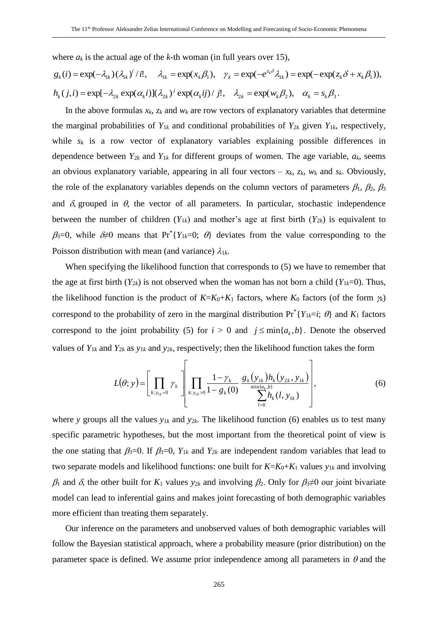where  $a_k$  is the actual age of the *k*-th woman (in full years over 15),

$$
g_k(i) = \exp(-\lambda_{1k})(\lambda_{1k})^i / i!, \quad \lambda_{1k} = \exp(x_k \beta_1), \quad \gamma_k = \exp(-e^{z_k \delta}\lambda_{1k}) = \exp(-\exp(z_k \delta + x_k \beta_1)),
$$
  

$$
h_k(j, i) = \exp[-\lambda_{2k} \exp(\alpha_k i)](\lambda_{2k})^j \exp(\alpha_k ij) / j!, \quad \lambda_{2k} = \exp(w_k \beta_2), \quad \alpha_k = s_k \beta_3.
$$

In the above formulas  $x_k$ ,  $z_k$  and  $w_k$  are row vectors of explanatory variables that determine the marginal probabilities of  $Y_{1k}$  and conditional probabilities of  $Y_{2k}$  given  $Y_{1k}$ , respectively, while  $s_k$  is a row vector of explanatory variables explaining possible differences in dependence between  $Y_{2k}$  and  $Y_{1k}$  for different groups of women. The age variable,  $a_k$ , seems an obvious explanatory variable, appearing in all four vectors  $-x_k$ ,  $z_k$ ,  $w_k$  and  $s_k$ . Obviously, the role of the explanatory variables depends on the column vectors of parameters  $\beta_1$ ,  $\beta_2$ ,  $\beta_3$ and  $\delta$ , grouped in  $\theta$ , the vector of all parameters. In particular, stochastic independence between the number of children  $(Y_{1k})$  and mother's age at first birth  $(Y_{2k})$  is equivalent to  $\beta_3=0$ , while  $\delta\neq 0$  means that Pr<sup>\*</sup>{*Y*<sub>1*k*</sub>=0;  $\theta$ } deviates from the value corresponding to the Poisson distribution with mean (and variance)  $\lambda_{1k}$ .

When specifying the likelihood function that corresponds to (5) we have to remember that the age at first birth  $(Y_{2k})$  is not observed when the woman has not born a child  $(Y_{1k}=0)$ . Thus, the likelihood function is the product of  $K = K_0 + K_1$  factors, where  $K_0$  factors (of the form  $\gamma_k$ ) correspond to the probability of zero in the marginal distribution  $Pr^*{Y_{1k}=i; \theta}$  and  $K_1$  factors correspond to the joint probability (5) for  $i > 0$  and  $j \leq \min\{a_k, b\}$ . Denote the observed values of  $Y_{1k}$  and  $Y_{2k}$  as  $y_{1k}$  and  $y_{2k}$ , respectively; then the likelihood function takes the form

$$
L(\theta; y) = \left[ \prod_{k: y_{1k}=0} y_k \right] \left[ \prod_{k: y_{1k}>0} \frac{1 - \gamma_k}{1 - g_k(0)} \frac{g_k(y_{1k}) h_k(y_{2k}, y_{1k})}{\sum_{l=0}^{\min\{a_k, b\}} h_k(l, y_{1k})} \right],
$$
(6)

where *y* groups all the values  $y_{1k}$  and  $y_{2k}$ . The likelihood function (6) enables us to test many specific parametric hypotheses, but the most important from the theoretical point of view is the one stating that  $\beta_3=0$ . If  $\beta_3=0$ ,  $Y_{1k}$  and  $Y_{2k}$  are independent random variables that lead to two separate models and likelihood functions: one built for  $K = K_0 + K_1$  values  $y_{1k}$  and involving  $\beta_1$  and  $\delta$ , the other built for  $K_1$  values  $y_{2k}$  and involving  $\beta_2$ . Only for  $\beta_3 \neq 0$  our joint bivariate model can lead to inferential gains and makes joint forecasting of both demographic variables more efficient than treating them separately.

Our inference on the parameters and unobserved values of both demographic variables will follow the Bayesian statistical approach, where a probability measure (prior distribution) on the parameter space is defined. We assume prior independence among all parameters in  $\theta$  and the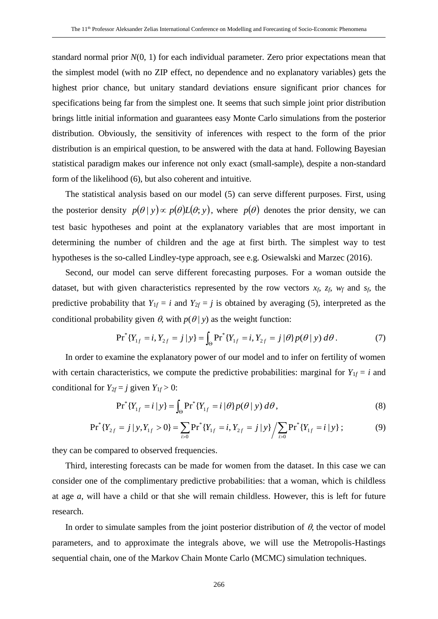standard normal prior *N*(0, 1) for each individual parameter. Zero prior expectations mean that the simplest model (with no ZIP effect, no dependence and no explanatory variables) gets the highest prior chance, but unitary standard deviations ensure significant prior chances for specifications being far from the simplest one. It seems that such simple joint prior distribution brings little initial information and guarantees easy Monte Carlo simulations from the posterior distribution. Obviously, the sensitivity of inferences with respect to the form of the prior distribution is an empirical question, to be answered with the data at hand. Following Bayesian statistical paradigm makes our inference not only exact (small-sample), despite a non-standard form of the likelihood (6), but also coherent and intuitive.

The statistical analysis based on our model (5) can serve different purposes. First, using the posterior density  $p(\theta | y) \propto p(\theta) L(\theta; y)$ , where  $p(\theta)$  denotes the prior density, we can test basic hypotheses and point at the explanatory variables that are most important in determining the number of children and the age at first birth. The simplest way to test hypotheses is the so-called Lindley-type approach, see e.g. Osiewalski and Marzec (2016).

Second, our model can serve different forecasting purposes. For a woman outside the dataset, but with given characteristics represented by the row vectors *xf*, *zf*, *w<sup>f</sup>* and *sf*, the predictive probability that  $Y_{1f} = i$  and  $Y_{2f} = j$  is obtained by averaging (5), interpreted as the conditional probability given  $\theta$ , with  $p(\theta | y)$  as the weight function:

$$
Pr^{\ast}\{Y_{1f} = i, Y_{2f} = j \mid y\} = \int_{\Theta} Pr^{\ast}\{Y_{1f} = i, Y_{2f} = j \mid \theta\} p(\theta \mid y) d\theta. \tag{7}
$$

In order to examine the explanatory power of our model and to infer on fertility of women with certain characteristics, we compute the predictive probabilities: marginal for  $Y_{1f} = i$  and conditional for  $Y_{2f} = j$  given  $Y_{1f} > 0$ :

$$
Pr^{\ast}\{Y_{1f} = i \mid y\} = \int_{\Theta} Pr^{\ast}\{Y_{1f} = i \mid \theta\} p(\theta \mid y) d\theta,
$$
\n(8)

$$
Pr^{*}\{Y_{2f} = j \mid y, Y_{1f} > 0\} = \sum_{i>0} Pr^{*}\{Y_{1f} = i, Y_{2f} = j \mid y\} / \sum_{i>0} Pr^{*}\{Y_{1f} = i \mid y\};
$$
(9)

they can be compared to observed frequencies.

Third, interesting forecasts can be made for women from the dataset. In this case we can consider one of the complimentary predictive probabilities: that a woman, which is childless at age *a*, will have a child or that she will remain childless. However, this is left for future research.

In order to simulate samples from the joint posterior distribution of  $\theta$ , the vector of model parameters, and to approximate the integrals above, we will use the Metropolis-Hastings sequential chain, one of the Markov Chain Monte Carlo (MCMC) simulation techniques.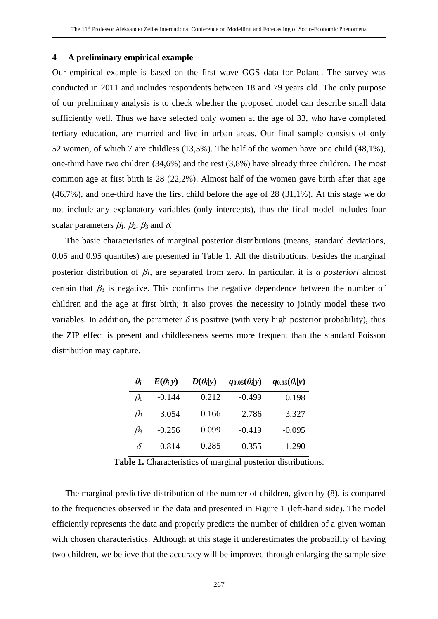#### **4 A preliminary empirical example**

Our empirical example is based on the first wave GGS data for Poland. The survey was conducted in 2011 and includes respondents between 18 and 79 years old. The only purpose of our preliminary analysis is to check whether the proposed model can describe small data sufficiently well. Thus we have selected only women at the age of 33, who have completed tertiary education, are married and live in urban areas. Our final sample consists of only 52 women, of which 7 are childless (13,5%). The half of the women have one child (48,1%), one-third have two children (34,6%) and the rest (3,8%) have already three children. The most common age at first birth is 28 (22,2%). Almost half of the women gave birth after that age (46,7%), and one-third have the first child before the age of 28 (31,1%). At this stage we do not include any explanatory variables (only intercepts), thus the final model includes four scalar parameters  $\beta_1$ ,  $\beta_2$ ,  $\beta_3$  and  $\delta$ .

The basic characteristics of marginal posterior distributions (means, standard deviations, 0.05 and 0.95 quantiles) are presented in Table 1. All the distributions, besides the marginal posterior distribution of  $\beta_1$ , are separated from zero. In particular, it is *a posteriori* almost certain that  $\beta_3$  is negative. This confirms the negative dependence between the number of children and the age at first birth; it also proves the necessity to jointly model these two variables. In addition, the parameter  $\delta$  is positive (with very high posterior probability), thus the ZIP effect is present and childlessness seems more frequent than the standard Poisson distribution may capture.

| $\theta_i$ | $E(\theta_i y)$ | $D(\theta_i y)$ | $q_{0.05}(\theta_i y)$ | $q_{0.95}(\theta_i y)$ |
|------------|-----------------|-----------------|------------------------|------------------------|
| $\beta_1$  | $-0.144$        | 0.212           | $-0.499$               | 0.198                  |
| $\beta_2$  | 3.054           | 0.166           | 2.786                  | 3.327                  |
| $\beta_3$  | $-0.256$        | 0.099           | $-0.419$               | $-0.095$               |
| δ          | 0.814           | 0.285           | 0.355                  | 1.290                  |

**Table 1.** Characteristics of marginal posterior distributions.

The marginal predictive distribution of the number of children, given by (8), is compared to the frequencies observed in the data and presented in Figure 1 (left-hand side). The model efficiently represents the data and properly predicts the number of children of a given woman with chosen characteristics. Although at this stage it underestimates the probability of having two children, we believe that the accuracy will be improved through enlarging the sample size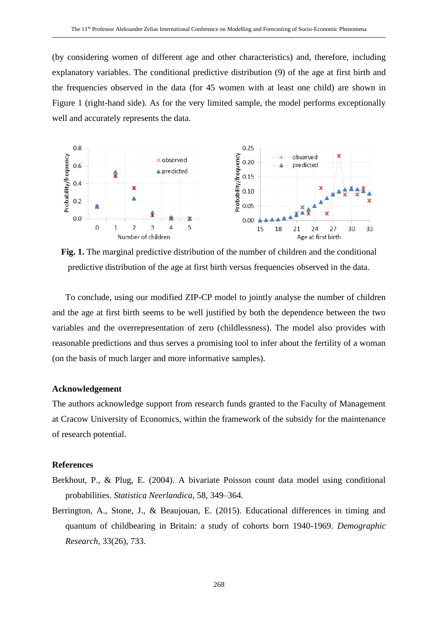(by considering women of different age and other characteristics) and, therefore, including explanatory variables. The conditional predictive distribution (9) of the age at first birth and the frequencies observed in the data (for 45 women with at least one child) are shown in Figure 1 (right-hand side). As for the very limited sample, the model performs exceptionally well and accurately represents the data.



**Fig. 1.** The marginal predictive distribution of the number of children and the conditional predictive distribution of the age at first birth versus frequencies observed in the data.

To conclude, using our modified ZIP-CP model to jointly analyse the number of children and the age at first birth seems to be well justified by both the dependence between the two variables and the overrepresentation of zero (childlessness). The model also provides with reasonable predictions and thus serves a promising tool to infer about the fertility of a woman (on the basis of much larger and more informative samples).

#### **Acknowledgement**

The authors acknowledge support from research funds granted to the Faculty of Management at Cracow University of Economics, within the framework of the subsidy for the maintenance of research potential.

### **References**

- Berkhout, P., & Plug, E. (2004). A bivariate Poisson count data model using conditional probabilities. *Statistica Neerlandica*, 58, 349–364.
- Berrington, A., Stone, J., & Beaujouan, E. (2015). Educational differences in timing and quantum of childbearing in Britain: a study of cohorts born 1940-1969. *Demographic Research*, 33(26), 733.